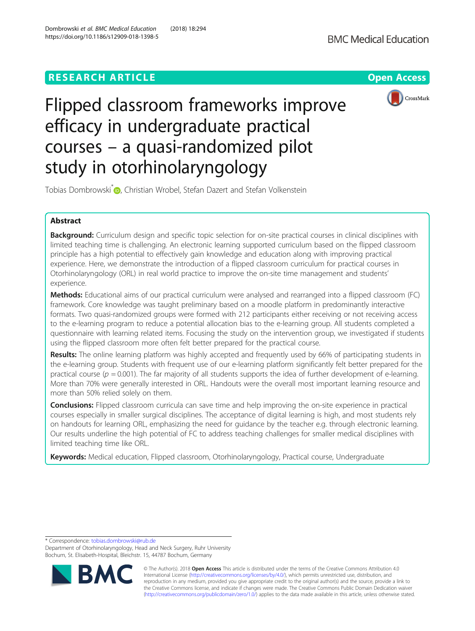## **RESEARCH ARTICLE Example 2018 12:30 THE Open Access**



# Flipped classroom frameworks improve efficacy in undergraduate practical courses – a quasi-randomized pilot study in otorhinolaryngology

Tobias Dombrowski<sup>[\\*](http://orcid.org/0000-0003-2522-0088)</sup> <sub>D</sub>, Christian Wrobel, Stefan Dazert and Stefan Volkenstein

## Abstract

Background: Curriculum design and specific topic selection for on-site practical courses in clinical disciplines with limited teaching time is challenging. An electronic learning supported curriculum based on the flipped classroom principle has a high potential to effectively gain knowledge and education along with improving practical experience. Here, we demonstrate the introduction of a flipped classroom curriculum for practical courses in Otorhinolaryngology (ORL) in real world practice to improve the on-site time management and students' experience.

Methods: Educational aims of our practical curriculum were analysed and rearranged into a flipped classroom (FC) framework. Core knowledge was taught preliminary based on a moodle platform in predominantly interactive formats. Two quasi-randomized groups were formed with 212 participants either receiving or not receiving access to the e-learning program to reduce a potential allocation bias to the e-learning group. All students completed a questionnaire with learning related items. Focusing the study on the intervention group, we investigated if students using the flipped classroom more often felt better prepared for the practical course.

Results: The online learning platform was highly accepted and frequently used by 66% of participating students in the e-learning group. Students with frequent use of our e-learning platform significantly felt better prepared for the practical course ( $p = 0.001$ ). The far majority of all students supports the idea of further development of e-learning. More than 70% were generally interested in ORL. Handouts were the overall most important learning resource and more than 50% relied solely on them.

**Conclusions:** Flipped classroom curricula can save time and help improving the on-site experience in practical courses especially in smaller surgical disciplines. The acceptance of digital learning is high, and most students rely on handouts for learning ORL, emphasizing the need for guidance by the teacher e.g. through electronic learning. Our results underline the high potential of FC to address teaching challenges for smaller medical disciplines with limited teaching time like ORL.

Keywords: Medical education, Flipped classroom, Otorhinolaryngology, Practical course, Undergraduate

\* Correspondence: [tobias.dombrowski@rub.de](mailto:tobias.dombrowski@rub.de)

Department of Otorhinolaryngology, Head and Neck Surgery, Ruhr University Bochum, St. Elisabeth-Hospital, Bleichstr. 15, 44787 Bochum, Germany



© The Author(s). 2018 Open Access This article is distributed under the terms of the Creative Commons Attribution 4.0 International License [\(http://creativecommons.org/licenses/by/4.0/](http://creativecommons.org/licenses/by/4.0/)), which permits unrestricted use, distribution, and reproduction in any medium, provided you give appropriate credit to the original author(s) and the source, provide a link to the Creative Commons license, and indicate if changes were made. The Creative Commons Public Domain Dedication waiver [\(http://creativecommons.org/publicdomain/zero/1.0/](http://creativecommons.org/publicdomain/zero/1.0/)) applies to the data made available in this article, unless otherwise stated.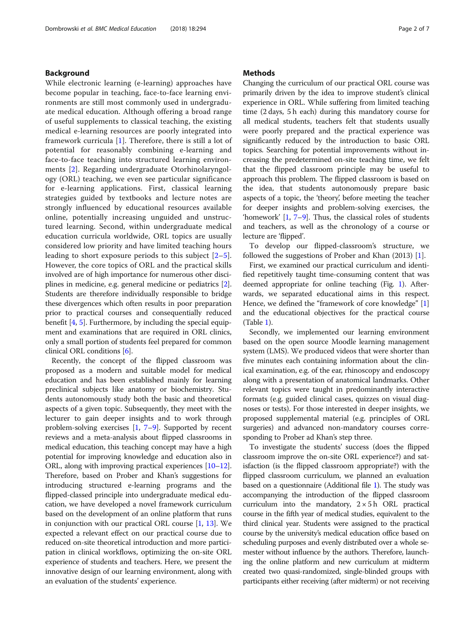## Background

While electronic learning (e-learning) approaches have become popular in teaching, face-to-face learning environments are still most commonly used in undergraduate medical education. Although offering a broad range of useful supplements to classical teaching, the existing medical e-learning resources are poorly integrated into framework curricula [\[1](#page-6-0)]. Therefore, there is still a lot of potential for reasonably combining e-learning and face-to-face teaching into structured learning environments [\[2\]](#page-6-0). Regarding undergraduate Otorhinolaryngology (ORL) teaching, we even see particular significance for e-learning applications. First, classical learning strategies guided by textbooks and lecture notes are strongly influenced by educational resources available online, potentially increasing unguided and unstructured learning. Second, within undergraduate medical education curricula worldwide, ORL topics are usually considered low priority and have limited teaching hours leading to short exposure periods to this subject [[2](#page-6-0)–[5](#page-6-0)]. However, the core topics of ORL and the practical skills involved are of high importance for numerous other disciplines in medicine, e.g. general medicine or pediatrics [[2](#page-6-0)]. Students are therefore individually responsible to bridge these divergences which often results in poor preparation prior to practical courses and consequentially reduced benefit [[4,](#page-6-0) [5](#page-6-0)]. Furthermore, by including the special equipment and examinations that are required in ORL clinics, only a small portion of students feel prepared for common clinical ORL conditions [[6](#page-6-0)].

Recently, the concept of the flipped classroom was proposed as a modern and suitable model for medical education and has been established mainly for learning preclinical subjects like anatomy or biochemistry. Students autonomously study both the basic and theoretical aspects of a given topic. Subsequently, they meet with the lecturer to gain deeper insights and to work through problem-solving exercises [\[1](#page-6-0), [7](#page-6-0)–[9](#page-6-0)]. Supported by recent reviews and a meta-analysis about flipped classrooms in medical education, this teaching concept may have a high potential for improving knowledge and education also in ORL, along with improving practical experiences [\[10](#page-6-0)–[12](#page-6-0)]. Therefore, based on Prober and Khan's suggestions for introducing structured e-learning programs and the flipped-classed principle into undergraduate medical education, we have developed a novel framework curriculum based on the development of an online platform that runs in conjunction with our practical ORL course [\[1](#page-6-0), [13\]](#page-6-0). We expected a relevant effect on our practical course due to reduced on-site theoretical introduction and more participation in clinical workflows, optimizing the on-site ORL experience of students and teachers. Here, we present the innovative design of our learning environment, along with an evaluation of the students' experience.

#### **Methods**

Changing the curriculum of our practical ORL course was primarily driven by the idea to improve student's clinical experience in ORL. While suffering from limited teaching time (2 days, 5 h each) during this mandatory course for all medical students, teachers felt that students usually were poorly prepared and the practical experience was significantly reduced by the introduction to basic ORL topics. Searching for potential improvements without increasing the predetermined on-site teaching time, we felt that the flipped classroom principle may be useful to approach this problem. The flipped classroom is based on the idea, that students autonomously prepare basic aspects of a topic, the 'theory', before meeting the teacher for deeper insights and problem-solving exercises, the 'homework' [[1,](#page-6-0) [7](#page-6-0)–[9\]](#page-6-0). Thus, the classical roles of students and teachers, as well as the chronology of a course or lecture are 'flipped'.

To develop our flipped-classroom's structure, we followed the suggestions of Prober and Khan (2013) [[1\]](#page-6-0).

First, we examined our practical curriculum and identified repetitively taught time-consuming content that was deemed appropriate for online teaching (Fig. [1](#page-2-0)). Afterwards, we separated educational aims in this respect. Hence, we defined the "framework of core knowledge" [[1](#page-6-0)] and the educational objectives for the practical course (Table [1\)](#page-2-0).

Secondly, we implemented our learning environment based on the open source Moodle learning management system (LMS). We produced videos that were shorter than five minutes each containing information about the clinical examination, e.g. of the ear, rhinoscopy and endoscopy along with a presentation of anatomical landmarks. Other relevant topics were taught in predominantly interactive formats (e.g. guided clinical cases, quizzes on visual diagnoses or tests). For those interested in deeper insights, we proposed supplemental material (e.g. principles of ORL surgeries) and advanced non-mandatory courses corresponding to Prober ad Khan's step three.

To investigate the students' success (does the flipped classroom improve the on-site ORL experience?) and satisfaction (is the flipped classroom appropriate?) with the flipped classroom curriculum, we planned an evaluation based on a questionnaire (Additional file [1\)](#page-6-0). The study was accompanying the introduction of the flipped classroom curriculum into the mandatory,  $2 \times 5$  h ORL practical course in the fifth year of medical studies, equivalent to the third clinical year. Students were assigned to the practical course by the university's medical education office based on scheduling purposes and evenly distributed over a whole semester without influence by the authors. Therefore, launching the online platform and new curriculum at midterm created two quasi-randomized, single-blinded groups with participants either receiving (after midterm) or not receiving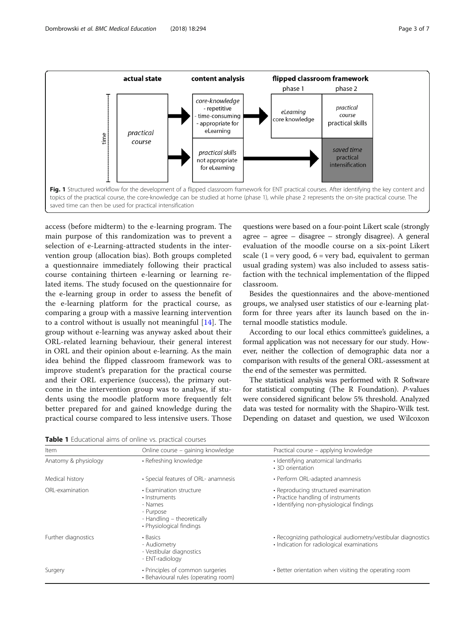<span id="page-2-0"></span>

access (before midterm) to the e-learning program. The main purpose of this randomization was to prevent a selection of e-Learning-attracted students in the intervention group (allocation bias). Both groups completed a questionnaire immediately following their practical course containing thirteen e-learning or learning related items. The study focused on the questionnaire for the e-learning group in order to assess the benefit of the e-learning platform for the practical course, as comparing a group with a massive learning intervention to a control without is usually not meaningful [[14\]](#page-6-0). The group without e-learning was anyway asked about their ORL-related learning behaviour, their general interest in ORL and their opinion about e-learning. As the main idea behind the flipped classroom framework was to improve student's preparation for the practical course and their ORL experience (success), the primary outcome in the intervention group was to analyse, if students using the moodle platform more frequently felt better prepared for and gained knowledge during the practical course compared to less intensive users. Those

questions were based on a four-point Likert scale (strongly agree – agree – disagree – strongly disagree). A general evaluation of the moodle course on a six-point Likert scale  $(1 = \text{very good}, 6 = \text{very bad}, \text{equivalent to german})$ usual grading system) was also included to assess satisfaction with the technical implementation of the flipped classroom.

Besides the questionnaires and the above-mentioned groups, we analysed user statistics of our e-learning platform for three years after its launch based on the internal moodle statistics module.

According to our local ethics committee's guidelines, a formal application was not necessary for our study. However, neither the collection of demographic data nor a comparison with results of the general ORL-assessment at the end of the semester was permitted.

The statistical analysis was performed with R Software for statistical computing (The R Foundation). P-values were considered significant below 5% threshold. Analyzed data was tested for normality with the Shapiro-Wilk test. Depending on dataset and question, we used Wilcoxon

Table 1 Educational aims of online vs. practical courses

| Item                 | Online course - gaining knowledge                                                                                          | Practical course – applying knowledge<br>· Identifying anatomical landmarks<br>• 3D orientation                        |  |  |
|----------------------|----------------------------------------------------------------------------------------------------------------------------|------------------------------------------------------------------------------------------------------------------------|--|--|
| Anatomy & physiology | • Refreshing knowledge                                                                                                     |                                                                                                                        |  |  |
| Medical history      | • Special features of ORL- anamnesis                                                                                       | • Perform ORL-adapted anamnesis                                                                                        |  |  |
| ORL-examination      | • Examination structure<br>· Instruments<br>- Names<br>- Purpose<br>- Handling – theoretically<br>• Physiological findings | • Reproducing structured examination<br>• Practice handling of instruments<br>· Identifying non-physiological findings |  |  |
| Further diagnostics  | • Basics<br>- Audiometry<br>- Vestibular diagnostics<br>- ENT-radiology                                                    | • Recognizing pathological audiometry/vestibular diagnostics<br>· Indication for radiological examinations             |  |  |
| Surgery              | • Principles of common surgeries<br>• Behavioural rules (operating room)                                                   | • Better orientation when visiting the operating room                                                                  |  |  |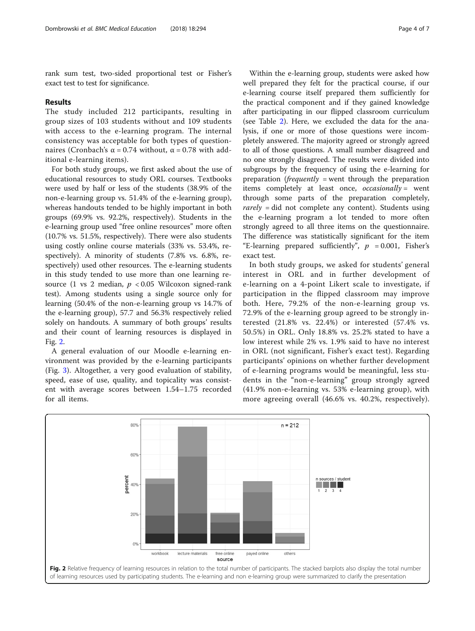rank sum test, two-sided proportional test or Fisher's exact test to test for significance.

#### Results

The study included 212 participants, resulting in group sizes of 103 students without and 109 students with access to the e-learning program. The internal consistency was acceptable for both types of questionnaires (Cronbach's α = 0.74 without, α = 0.78 with additional e-learning items).

For both study groups, we first asked about the use of educational resources to study ORL courses. Textbooks were used by half or less of the students (38.9% of the non-e-learning group vs. 51.4% of the e-learning group), whereas handouts tended to be highly important in both groups (69.9% vs. 92.2%, respectively). Students in the e-learning group used "free online resources" more often (10.7% vs. 51.5%, respectively). There were also students using costly online course materials (33% vs. 53.4%, respectively). A minority of students (7.8% vs. 6.8%, respectively) used other resources. The e-learning students in this study tended to use more than one learning resource (1 vs 2 median,  $p < 0.05$  Wilcoxon signed-rank test). Among students using a single source only for learning (50.4% of the non-e-learning group vs 14.7% of the e-learning group), 57.7 and 56.3% respectively relied solely on handouts. A summary of both groups' results and their count of learning resources is displayed in Fig. 2.

A general evaluation of our Moodle e-learning environment was provided by the e-learning participants (Fig. [3\)](#page-4-0). Altogether, a very good evaluation of stability, speed, ease of use, quality, and topicality was consistent with average scores between 1.54–1.75 recorded for all items.

Within the e-learning group, students were asked how well prepared they felt for the practical course, if our e-learning course itself prepared them sufficiently for the practical component and if they gained knowledge after participating in our flipped classroom curriculum (see Table [2\)](#page-4-0). Here, we excluded the data for the analysis, if one or more of those questions were incompletely answered. The majority agreed or strongly agreed to all of those questions. A small number disagreed and no one strongly disagreed. The results were divided into subgroups by the frequency of using the e-learning for preparation (*frequently* = went through the preparation items completely at least once, occasionally = went through some parts of the preparation completely,  $rarely = did not complete any content). Students using$ the e-learning program a lot tended to more often strongly agreed to all three items on the questionnaire. The difference was statistically significant for the item "E-learning prepared sufficiently",  $p = 0.001$ , Fisher's exact test.

In both study groups, we asked for students' general interest in ORL and in further development of e-learning on a 4-point Likert scale to investigate, if participation in the flipped classroom may improve both. Here, 79.2% of the non-e-learning group vs. 72.9% of the e-learning group agreed to be strongly interested (21.8% vs. 22.4%) or interested (57.4% vs. 50.5%) in ORL. Only 18.8% vs. 25.2% stated to have a low interest while 2% vs. 1.9% said to have no interest in ORL (not significant, Fisher's exact test). Regarding participants' opinions on whether further development of e-learning programs would be meaningful, less students in the "non-e-learning" group strongly agreed (41.9% non-e-learning vs. 53% e-learning group), with more agreeing overall (46.6% vs. 40.2%, respectively).

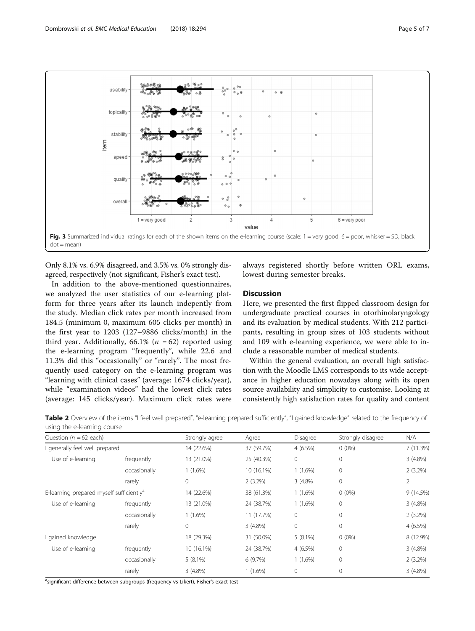<span id="page-4-0"></span>

Only 8.1% vs. 6.9% disagreed, and 3.5% vs. 0% strongly disagreed, respectively (not significant, Fisher's exact test).

In addition to the above-mentioned questionnaires, we analyzed the user statistics of our e-learning platform for three years after its launch indepently from the study. Median click rates per month increased from 184.5 (minimum 0, maximum 605 clicks per month) in the first year to 1203 (127–9886 clicks/month) in the third year. Additionally, 66.1% ( $n = 62$ ) reported using the e-learning program "frequently", while 22.6 and 11.3% did this "occasionally" or "rarely". The most frequently used category on the e-learning program was "learning with clinical cases" (average: 1674 clicks/year), while "examination videos" had the lowest click rates (average: 145 clicks/year). Maximum click rates were

always registered shortly before written ORL exams, lowest during semester breaks.

## Discussion

Here, we presented the first flipped classroom design for undergraduate practical courses in otorhinolaryngology and its evaluation by medical students. With 212 participants, resulting in group sizes of 103 students without and 109 with e-learning experience, we were able to include a reasonable number of medical students.

Within the general evaluation, an overall high satisfaction with the Moodle LMS corresponds to its wide acceptance in higher education nowadays along with its open source availability and simplicity to customise. Looking at consistently high satisfaction rates for quality and content

Table 2 Overview of the items "I feel well prepared", "e-learning prepared sufficiently", "I gained knowledge" related to the frequency of using the e-learning course

| Question ( $n = 62$ each)                            |              | Strongly agree | Agree      | Disagree     | Strongly disagree | N/A        |
|------------------------------------------------------|--------------|----------------|------------|--------------|-------------------|------------|
| generally feel well prepared                         |              | 14 (22.6%)     | 37 (59.7%) | 4(6.5%)      | $0(0\%)$          | 7 (11.3%)  |
| Use of e-learning                                    | frequently   | 13 (21.0%)     | 25 (40.3%) | $\mathbf{0}$ | 0                 | $3(4.8\%)$ |
|                                                      | occasionally | $1(1.6\%)$     | 10 (16.1%) | $1(1.6\%)$   | $\mathbf{0}$      | $2(3.2\%)$ |
|                                                      | rarely       | 0              | $2(3.2\%)$ | 3 (4.8%)     | $\mathbf{0}$      | 2          |
| E-learning prepared myself sufficiently <sup>a</sup> |              | 14 (22.6%)     | 38 (61.3%) | $1(1.6\%)$   | $0(0\%)$          | 9 (14.5%)  |
| Use of e-learning                                    | frequently   | 13 (21.0%)     | 24 (38.7%) | $1(1.6\%)$   | 0                 | $3(4.8\%)$ |
|                                                      | occasionally | $1(1.6\%)$     | 11 (17.7%) | $\mathbf{0}$ | $\mathbf{0}$      | $2(3.2\%)$ |
|                                                      | rarely       | $\mathbf{0}$   | $3(4.8\%)$ | $\mathbf{0}$ | $\mathbf{0}$      | $4(6.5\%)$ |
| gained knowledge                                     |              | 18 (29.3%)     | 31 (50.0%) | $5(8.1\%)$   | $0(0\%)$          | 8 (12.9%)  |
| Use of e-learning                                    | frequently   | 10 (16.1%)     | 24 (38.7%) | 4(6.5%)      | 0                 | $3(4.8\%)$ |
|                                                      | occasionally | $5(8.1\%)$     | 6(9.7%)    | 1(1.6%)      | 0                 | $2(3.2\%)$ |
|                                                      | rarely       | $3(4.8\%)$     | $1(1.6\%)$ | $\mathbf{0}$ | 0                 | $3(4.8\%)$ |

<sup>a</sup>significant difference between subgroups (frequency vs Likert), Fisher's exact test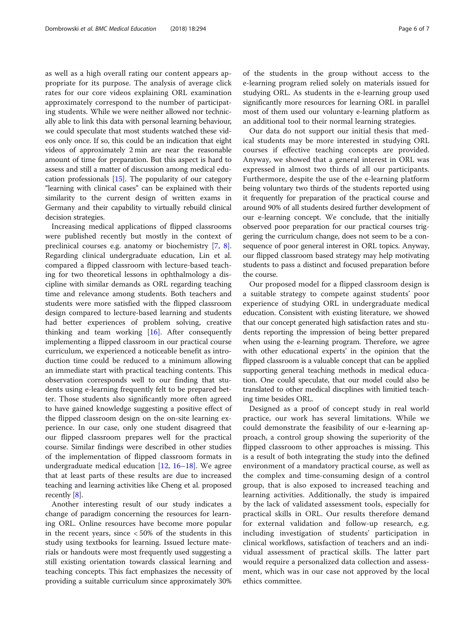as well as a high overall rating our content appears appropriate for its purpose. The analysis of average click rates for our core videos explaining ORL examination approximately correspond to the number of participating students. While we were neither allowed nor technically able to link this data with personal learning behaviour, we could speculate that most students watched these videos only once. If so, this could be an indication that eight videos of approximately 2 min are near the reasonable amount of time for preparation. But this aspect is hard to assess and still a matter of discussion among medical education professionals [[15](#page-6-0)]. The popularity of our category "learning with clinical cases" can be explained with their similarity to the current design of written exams in Germany and their capability to virtually rebuild clinical decision strategies.

Increasing medical applications of flipped classrooms were published recently but mostly in the context of preclinical courses e.g. anatomy or biochemistry [[7,](#page-6-0) [8](#page-6-0)]. Regarding clinical undergraduate education, Lin et al. compared a flipped classroom with lecture-based teaching for two theoretical lessons in ophthalmology a discipline with similar demands as ORL regarding teaching time and relevance among students. Both teachers and students were more satisfied with the flipped classroom design compared to lecture-based learning and students had better experiences of problem solving, creative thinking and team working  $[16]$  $[16]$ . After consequently implementing a flipped classroom in our practical course curriculum, we experienced a noticeable benefit as introduction time could be reduced to a minimum allowing an immediate start with practical teaching contents. This observation corresponds well to our finding that students using e-learning frequently felt to be prepared better. Those students also significantly more often agreed to have gained knowledge suggesting a positive effect of the flipped classroom design on the on-site learning experience. In our case, only one student disagreed that our flipped classroom prepares well for the practical course. Similar findings were described in other studies of the implementation of flipped classroom formats in undergraduate medical education  $[12, 16-18]$  $[12, 16-18]$  $[12, 16-18]$  $[12, 16-18]$  $[12, 16-18]$  $[12, 16-18]$ . We agree that at least parts of these results are due to increased teaching and learning activities like Cheng et al. proposed recently [\[8](#page-6-0)].

Another interesting result of our study indicates a change of paradigm concerning the resources for learning ORL. Online resources have become more popular in the recent years, since < 50% of the students in this study using textbooks for learning. Issued lecture materials or handouts were most frequently used suggesting a still existing orientation towards classical learning and teaching concepts. This fact emphasizes the necessity of providing a suitable curriculum since approximately 30% of the students in the group without access to the e-learning program relied solely on materials issued for studying ORL. As students in the e-learning group used significantly more resources for learning ORL in parallel most of them used our voluntary e-learning platform as an additional tool to their normal learning strategies.

Our data do not support our initial thesis that medical students may be more interested in studying ORL courses if effective teaching concepts are provided. Anyway, we showed that a general interest in ORL was expressed in almost two thirds of all our participants. Furthermore, despite the use of the e-learning platform being voluntary two thirds of the students reported using it frequently for preparation of the practical course and around 90% of all students desired further development of our e-learning concept. We conclude, that the initially observed poor preparation for our practical courses triggering the curriculum change, does not seem to be a consequence of poor general interest in ORL topics. Anyway, our flipped classroom based strategy may help motivating students to pass a distinct and focused preparation before the course.

Our proposed model for a flipped classroom design is a suitable strategy to compete against students' poor experience of studying ORL in undergraduate medical education. Consistent with existing literature, we showed that our concept generated high satisfaction rates and students reporting the impression of being better prepared when using the e-learning program. Therefore, we agree with other educational experts' in the opinion that the flipped classroom is a valuable concept that can be applied supporting general teaching methods in medical education. One could speculate, that our model could also be translated to other medical discplines with limitied teaching time besides ORL.

Designed as a proof of concept study in real world practice, our work has several limitations. While we could demonstrate the feasibility of our e-learning approach, a control group showing the superiority of the flipped classroom to other approaches is missing. This is a result of both integrating the study into the defined environment of a mandatory practical course, as well as the complex and time-consuming design of a control group, that is also exposed to increased teaching and learning activities. Additionally, the study is impaired by the lack of validated assessment tools, especially for practical skills in ORL. Our results therefore demand for external validation and follow-up research, e.g. including investigation of students' participation in clinical workflows, satisfaction of teachers and an individual assessment of practical skills. The latter part would require a personalized data collection and assessment, which was in our case not approved by the local ethics committee.